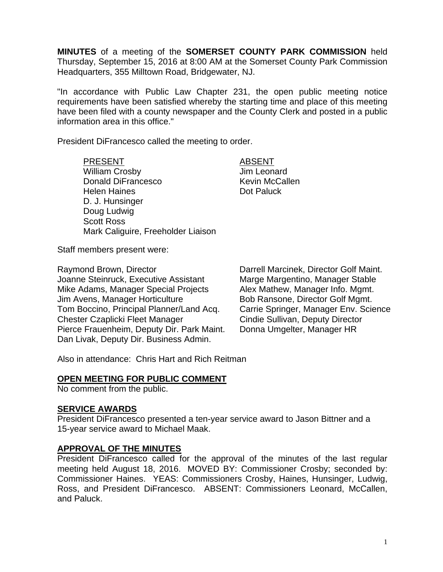**MINUTES** of a meeting of the **SOMERSET COUNTY PARK COMMISSION** held Thursday, September 15, 2016 at 8:00 AM at the Somerset County Park Commission Headquarters, 355 Milltown Road, Bridgewater, NJ.

"In accordance with Public Law Chapter 231, the open public meeting notice requirements have been satisfied whereby the starting time and place of this meeting have been filed with a county newspaper and the County Clerk and posted in a public information area in this office."

President DiFrancesco called the meeting to order.

PRESENT ABSENT William Crosby **Jim Leonard** Donald DiFrancesco Kevin McCallen Helen Haines **Dot Paluck** D. J. Hunsinger Doug Ludwig Scott Ross Mark Caliguire, Freeholder Liaison

Staff members present were:

Raymond Brown, Director **Darrell Marcinek, Director Golf Maint.** Joanne Steinruck, Executive Assistant Marge Margentino, Manager Stable Mike Adams, Manager Special Projects Alex Mathew, Manager Info. Mgmt. Jim Avens, Manager Horticulture **Bob Ransone, Director Golf Mgmt.** Tom Boccino, Principal Planner/Land Acq. Carrie Springer, Manager Env. Science Chester Czaplicki Fleet Manager Cindie Sullivan, Deputy Director Pierce Frauenheim, Deputy Dir. Park Maint. Donna Umgelter, Manager HR Dan Livak, Deputy Dir. Business Admin.

Also in attendance: Chris Hart and Rich Reitman

### **OPEN MEETING FOR PUBLIC COMMENT**

No comment from the public.

### **SERVICE AWARDS**

President DiFrancesco presented a ten-year service award to Jason Bittner and a 15-year service award to Michael Maak.

### **APPROVAL OF THE MINUTES**

President DiFrancesco called for the approval of the minutes of the last regular meeting held August 18, 2016. MOVED BY: Commissioner Crosby; seconded by: Commissioner Haines. YEAS: Commissioners Crosby, Haines, Hunsinger, Ludwig, Ross, and President DiFrancesco. ABSENT: Commissioners Leonard, McCallen, and Paluck.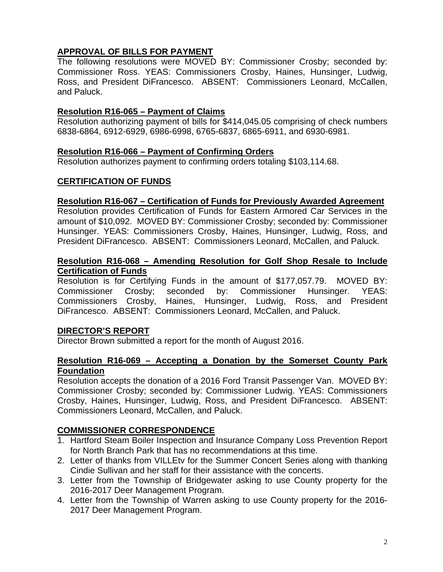# **APPROVAL OF BILLS FOR PAYMENT**

The following resolutions were MOVED BY: Commissioner Crosby; seconded by: Commissioner Ross. YEAS: Commissioners Crosby, Haines, Hunsinger, Ludwig, Ross, and President DiFrancesco. ABSENT: Commissioners Leonard, McCallen, and Paluck.

## **Resolution R16-065 – Payment of Claims**

Resolution authorizing payment of bills for \$414,045.05 comprising of check numbers 6838-6864, 6912-6929, 6986-6998, 6765-6837, 6865-6911, and 6930-6981.

## **Resolution R16-066 – Payment of Confirming Orders**

Resolution authorizes payment to confirming orders totaling \$103,114.68.

# **CERTIFICATION OF FUNDS**

### **Resolution R16-067 – Certification of Funds for Previously Awarded Agreement**

Resolution provides Certification of Funds for Eastern Armored Car Services in the amount of \$10,092. MOVED BY: Commissioner Crosby; seconded by: Commissioner Hunsinger. YEAS: Commissioners Crosby, Haines, Hunsinger, Ludwig, Ross, and President DiFrancesco. ABSENT: Commissioners Leonard, McCallen, and Paluck.

### **Resolution R16-068 – Amending Resolution for Golf Shop Resale to Include Certification of Funds**

Resolution is for Certifying Funds in the amount of \$177,057.79. MOVED BY: Commissioner Crosby; seconded by: Commissioner Hunsinger. YEAS: Commissioners Crosby, Haines, Hunsinger, Ludwig, Ross, and President DiFrancesco. ABSENT: Commissioners Leonard, McCallen, and Paluck.

# **DIRECTOR'S REPORT**

Director Brown submitted a report for the month of August 2016.

### **Resolution R16-069 – Accepting a Donation by the Somerset County Park Foundation**

Resolution accepts the donation of a 2016 Ford Transit Passenger Van. MOVED BY: Commissioner Crosby; seconded by: Commissioner Ludwig. YEAS: Commissioners Crosby, Haines, Hunsinger, Ludwig, Ross, and President DiFrancesco. ABSENT: Commissioners Leonard, McCallen, and Paluck.

# **COMMISSIONER CORRESPONDENCE**

- 1. Hartford Steam Boiler Inspection and Insurance Company Loss Prevention Report for North Branch Park that has no recommendations at this time.
- 2. Letter of thanks from VILLEtv for the Summer Concert Series along with thanking Cindie Sullivan and her staff for their assistance with the concerts.
- 3. Letter from the Township of Bridgewater asking to use County property for the 2016-2017 Deer Management Program.
- 4. Letter from the Township of Warren asking to use County property for the 2016- 2017 Deer Management Program.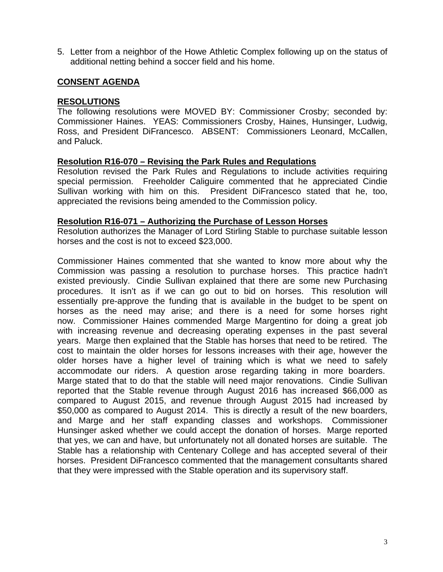5. Letter from a neighbor of the Howe Athletic Complex following up on the status of additional netting behind a soccer field and his home.

## **CONSENT AGENDA**

#### **RESOLUTIONS**

The following resolutions were MOVED BY: Commissioner Crosby; seconded by: Commissioner Haines. YEAS: Commissioners Crosby, Haines, Hunsinger, Ludwig, Ross, and President DiFrancesco. ABSENT: Commissioners Leonard, McCallen, and Paluck.

#### **Resolution R16-070 – Revising the Park Rules and Regulations**

Resolution revised the Park Rules and Regulations to include activities requiring special permission. Freeholder Caliguire commented that he appreciated Cindie Sullivan working with him on this. President DiFrancesco stated that he, too, appreciated the revisions being amended to the Commission policy.

#### **Resolution R16-071 – Authorizing the Purchase of Lesson Horses**

Resolution authorizes the Manager of Lord Stirling Stable to purchase suitable lesson horses and the cost is not to exceed \$23,000.

Commissioner Haines commented that she wanted to know more about why the Commission was passing a resolution to purchase horses. This practice hadn't existed previously. Cindie Sullivan explained that there are some new Purchasing procedures. It isn't as if we can go out to bid on horses. This resolution will essentially pre-approve the funding that is available in the budget to be spent on horses as the need may arise; and there is a need for some horses right now. Commissioner Haines commended Marge Margentino for doing a great job with increasing revenue and decreasing operating expenses in the past several years. Marge then explained that the Stable has horses that need to be retired. The cost to maintain the older horses for lessons increases with their age, however the older horses have a higher level of training which is what we need to safely accommodate our riders. A question arose regarding taking in more boarders. Marge stated that to do that the stable will need major renovations. Cindie Sullivan reported that the Stable revenue through August 2016 has increased \$66,000 as compared to August 2015, and revenue through August 2015 had increased by \$50,000 as compared to August 2014. This is directly a result of the new boarders, and Marge and her staff expanding classes and workshops. Commissioner Hunsinger asked whether we could accept the donation of horses. Marge reported that yes, we can and have, but unfortunately not all donated horses are suitable. The Stable has a relationship with Centenary College and has accepted several of their horses. President DiFrancesco commented that the management consultants shared that they were impressed with the Stable operation and its supervisory staff.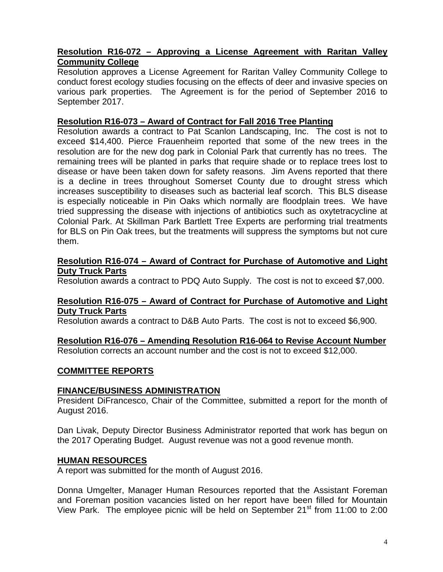## **Resolution R16-072 – Approving a License Agreement with Raritan Valley Community College**

Resolution approves a License Agreement for Raritan Valley Community College to conduct forest ecology studies focusing on the effects of deer and invasive species on various park properties. The Agreement is for the period of September 2016 to September 2017.

## **Resolution R16-073 – Award of Contract for Fall 2016 Tree Planting**

Resolution awards a contract to Pat Scanlon Landscaping, Inc. The cost is not to exceed \$14,400. Pierce Frauenheim reported that some of the new trees in the resolution are for the new dog park in Colonial Park that currently has no trees. The remaining trees will be planted in parks that require shade or to replace trees lost to disease or have been taken down for safety reasons. Jim Avens reported that there is a decline in trees throughout Somerset County due to drought stress which increases susceptibility to diseases such as bacterial leaf scorch. This BLS disease is especially noticeable in Pin Oaks which normally are floodplain trees. We have tried suppressing the disease with injections of antibiotics such as oxytetracycline at Colonial Park. At Skillman Park Bartlett Tree Experts are performing trial treatments for BLS on Pin Oak trees, but the treatments will suppress the symptoms but not cure them.

#### **Resolution R16-074 – Award of Contract for Purchase of Automotive and Light Duty Truck Parts**

Resolution awards a contract to PDQ Auto Supply. The cost is not to exceed \$7,000.

### **Resolution R16-075 – Award of Contract for Purchase of Automotive and Light Duty Truck Parts**

Resolution awards a contract to D&B Auto Parts. The cost is not to exceed \$6,900.

**Resolution R16-076 – Amending Resolution R16-064 to Revise Account Number**  Resolution corrects an account number and the cost is not to exceed \$12,000.

# **COMMITTEE REPORTS**

### **FINANCE/BUSINESS ADMINISTRATION**

President DiFrancesco, Chair of the Committee, submitted a report for the month of August 2016.

Dan Livak, Deputy Director Business Administrator reported that work has begun on the 2017 Operating Budget. August revenue was not a good revenue month.

### **HUMAN RESOURCES**

A report was submitted for the month of August 2016.

Donna Umgelter, Manager Human Resources reported that the Assistant Foreman and Foreman position vacancies listed on her report have been filled for Mountain View Park. The employee picnic will be held on September 21<sup>st</sup> from 11:00 to 2:00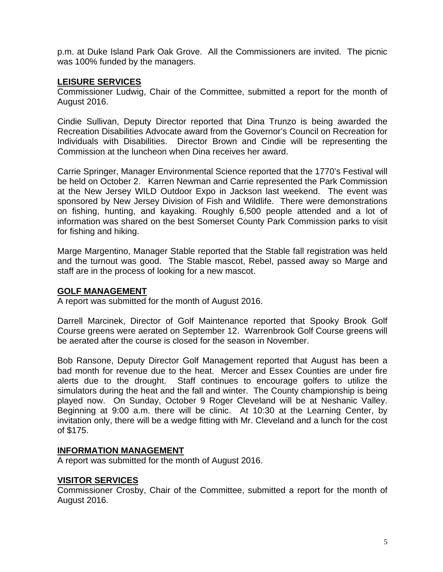p.m. at Duke Island Park Oak Grove. All the Commissioners are invited. The picnic was 100% funded by the managers.

# **LEISURE SERVICES**

Commissioner Ludwig, Chair of the Committee, submitted a report for the month of August 2016.

Cindie Sullivan, Deputy Director reported that Dina Trunzo is being awarded the Recreation Disabilities Advocate award from the Governor's Council on Recreation for Individuals with Disabilities. Director Brown and Cindie will be representing the Commission at the luncheon when Dina receives her award.

Carrie Springer, Manager Environmental Science reported that the 1770's Festival will be held on October 2. Karren Newman and Carrie represented the Park Commission at the New Jersey WILD Outdoor Expo in Jackson last weekend. The event was sponsored by New Jersey Division of Fish and Wildlife. There were demonstrations on fishing, hunting, and kayaking. Roughly 6,500 people attended and a lot of information was shared on the best Somerset County Park Commission parks to visit for fishing and hiking.

Marge Margentino, Manager Stable reported that the Stable fall registration was held and the turnout was good. The Stable mascot, Rebel, passed away so Marge and staff are in the process of looking for a new mascot.

### **GOLF MANAGEMENT**

A report was submitted for the month of August 2016.

Darrell Marcinek, Director of Golf Maintenance reported that Spooky Brook Golf Course greens were aerated on September 12. Warrenbrook Golf Course greens will be aerated after the course is closed for the season in November.

Bob Ransone, Deputy Director Golf Management reported that August has been a bad month for revenue due to the heat. Mercer and Essex Counties are under fire alerts due to the drought. Staff continues to encourage golfers to utilize the simulators during the heat and the fall and winter. The County championship is being played now. On Sunday, October 9 Roger Cleveland will be at Neshanic Valley. Beginning at 9:00 a.m. there will be clinic. At 10:30 at the Learning Center, by invitation only, there will be a wedge fitting with Mr. Cleveland and a lunch for the cost of \$175.

### **INFORMATION MANAGEMENT**

A report was submitted for the month of August 2016.

### **VISITOR SERVICES**

Commissioner Crosby, Chair of the Committee, submitted a report for the month of August 2016.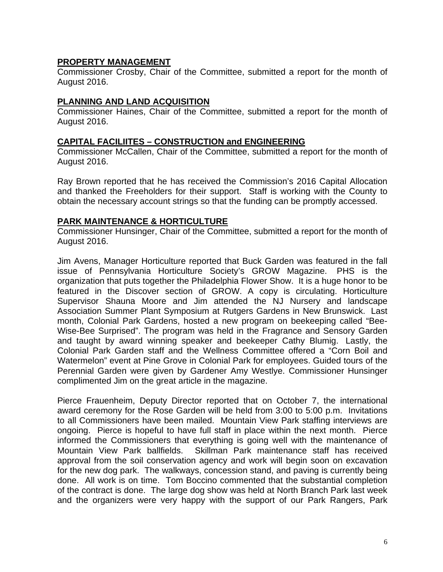## **PROPERTY MANAGEMENT**

Commissioner Crosby, Chair of the Committee, submitted a report for the month of August 2016.

## **PLANNING AND LAND ACQUISITION**

Commissioner Haines, Chair of the Committee, submitted a report for the month of August 2016.

### **CAPITAL FACILIITES – CONSTRUCTION and ENGINEERING**

Commissioner McCallen, Chair of the Committee, submitted a report for the month of August 2016.

Ray Brown reported that he has received the Commission's 2016 Capital Allocation and thanked the Freeholders for their support. Staff is working with the County to obtain the necessary account strings so that the funding can be promptly accessed.

### **PARK MAINTENANCE & HORTICULTURE**

Commissioner Hunsinger, Chair of the Committee, submitted a report for the month of August 2016.

Jim Avens, Manager Horticulture reported that Buck Garden was featured in the fall issue of Pennsylvania Horticulture Society's GROW Magazine. PHS is the organization that puts together the Philadelphia Flower Show. It is a huge honor to be featured in the Discover section of GROW. A copy is circulating. Horticulture Supervisor Shauna Moore and Jim attended the NJ Nursery and landscape Association Summer Plant Symposium at Rutgers Gardens in New Brunswick. Last month, Colonial Park Gardens, hosted a new program on beekeeping called "Bee-Wise-Bee Surprised". The program was held in the Fragrance and Sensory Garden and taught by award winning speaker and beekeeper Cathy Blumig. Lastly, the Colonial Park Garden staff and the Wellness Committee offered a "Corn Boil and Watermelon" event at Pine Grove in Colonial Park for employees. Guided tours of the Perennial Garden were given by Gardener Amy Westlye. Commissioner Hunsinger complimented Jim on the great article in the magazine.

Pierce Frauenheim, Deputy Director reported that on October 7, the international award ceremony for the Rose Garden will be held from 3:00 to 5:00 p.m. Invitations to all Commissioners have been mailed. Mountain View Park staffing interviews are ongoing. Pierce is hopeful to have full staff in place within the next month. Pierce informed the Commissioners that everything is going well with the maintenance of Mountain View Park ballfields. Skillman Park maintenance staff has received approval from the soil conservation agency and work will begin soon on excavation for the new dog park. The walkways, concession stand, and paving is currently being done. All work is on time. Tom Boccino commented that the substantial completion of the contract is done. The large dog show was held at North Branch Park last week and the organizers were very happy with the support of our Park Rangers, Park